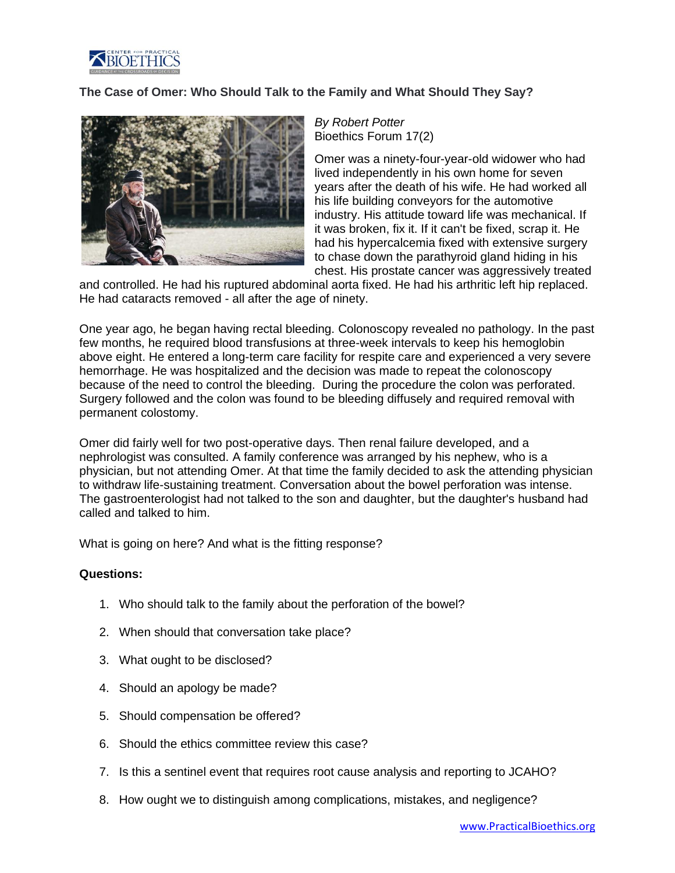

## **The Case of Omer: Who Should Talk to the Family and What Should They Say?**



*By Robert Potter* Bioethics Forum 17(2)

Omer was a ninety-four-year-old widower who had lived independently in his own home for seven years after the death of his wife. He had worked all his life building conveyors for the automotive industry. His attitude toward life was mechanical. If it was broken, fix it. If it can't be fixed, scrap it. He had his hypercalcemia fixed with extensive surgery to chase down the parathyroid gland hiding in his chest. His prostate cancer was aggressively treated

and controlled. He had his ruptured abdominal aorta fixed. He had his arthritic left hip replaced. He had cataracts removed - all after the age of ninety.

One year ago, he began having rectal bleeding. Colonoscopy revealed no pathology. In the past few months, he required blood transfusions at three-week intervals to keep his hemoglobin above eight. He entered a long-term care facility for respite care and experienced a very severe hemorrhage. He was hospitalized and the decision was made to repeat the colonoscopy because of the need to control the bleeding. During the procedure the colon was perforated. Surgery followed and the colon was found to be bleeding diffusely and required removal with permanent colostomy.

Omer did fairly well for two post-operative days. Then renal failure developed, and a nephrologist was consulted. A family conference was arranged by his nephew, who is a physician, but not attending Omer. At that time the family decided to ask the attending physician to withdraw life-sustaining treatment. Conversation about the bowel perforation was intense. The gastroenterologist had not talked to the son and daughter, but the daughter's husband had called and talked to him.

What is going on here? And what is the fitting response?

## **Questions:**

- 1. Who should talk to the family about the perforation of the bowel?
- 2. When should that conversation take place?
- 3. What ought to be disclosed?
- 4. Should an apology be made?
- 5. Should compensation be offered?
- 6. Should the ethics committee review this case?
- 7. Is this a sentinel event that requires root cause analysis and reporting to JCAHO?
- 8. How ought we to distinguish among complications, mistakes, and negligence?